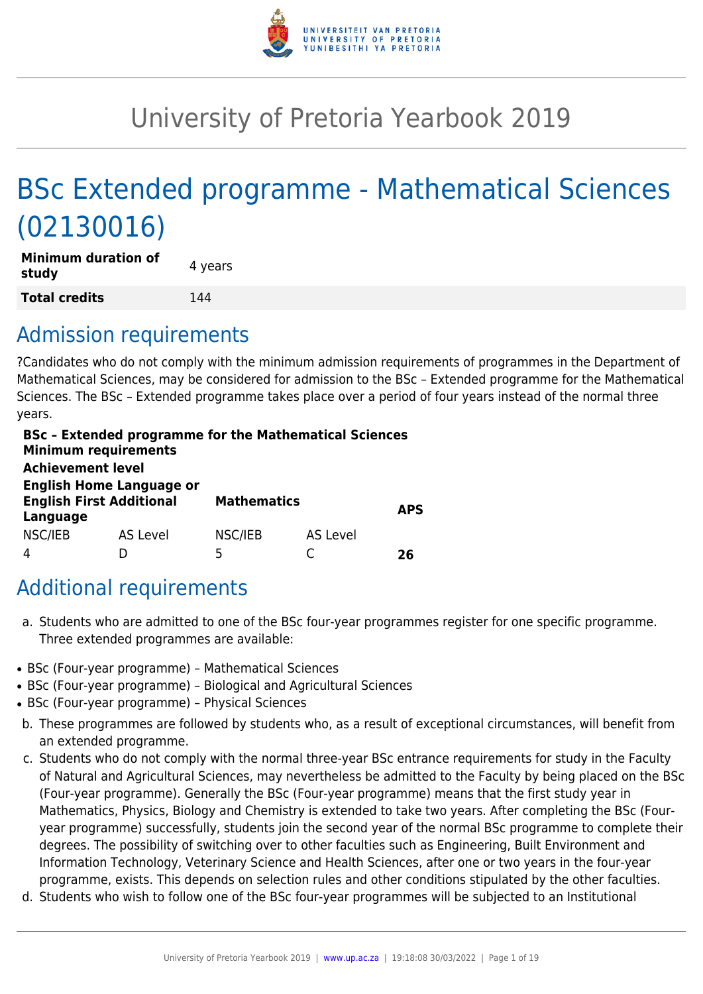

# University of Pretoria Yearbook 2019

# BSc Extended programme - Mathematical Sciences (02130016)

| <b>Minimum duration of</b><br>study | 4 years |
|-------------------------------------|---------|
| <b>Total credits</b>                | 144     |

# Admission requirements

?Candidates who do not comply with the minimum admission requirements of programmes in the Department of Mathematical Sciences, may be considered for admission to the BSc – Extended programme for the Mathematical Sciences. The BSc – Extended programme takes place over a period of four years instead of the normal three years.

| <b>Minimum requirements</b><br><b>Achievement level</b> | <b>BSc - Extended programme for the Mathematical Sciences</b> |                    |          |            |
|---------------------------------------------------------|---------------------------------------------------------------|--------------------|----------|------------|
|                                                         |                                                               |                    |          |            |
| <b>English Home Language or</b>                         |                                                               |                    |          |            |
| <b>English First Additional</b>                         |                                                               | <b>Mathematics</b> |          |            |
| Language                                                |                                                               |                    |          | <b>APS</b> |
| NSC/IEB                                                 | <b>AS Level</b>                                               | NSC/IEB            | AS Level |            |
|                                                         |                                                               | 5                  |          | 76         |

# Additional requirements

- a. Students who are admitted to one of the BSc four-year programmes register for one specific programme. Three extended programmes are available:
- BSc (Four-year programme) Mathematical Sciences
- BSc (Four-year programme) Biological and Agricultural Sciences
- BSc (Four-year programme) Physical Sciences
- b. These programmes are followed by students who, as a result of exceptional circumstances, will benefit from an extended programme.
- c. Students who do not comply with the normal three-year BSc entrance requirements for study in the Faculty of Natural and Agricultural Sciences, may nevertheless be admitted to the Faculty by being placed on the BSc (Four-year programme). Generally the BSc (Four-year programme) means that the first study year in Mathematics, Physics, Biology and Chemistry is extended to take two years. After completing the BSc (Fouryear programme) successfully, students join the second year of the normal BSc programme to complete their degrees. The possibility of switching over to other faculties such as Engineering, Built Environment and Information Technology, Veterinary Science and Health Sciences, after one or two years in the four-year programme, exists. This depends on selection rules and other conditions stipulated by the other faculties.
- d. Students who wish to follow one of the BSc four-year programmes will be subjected to an Institutional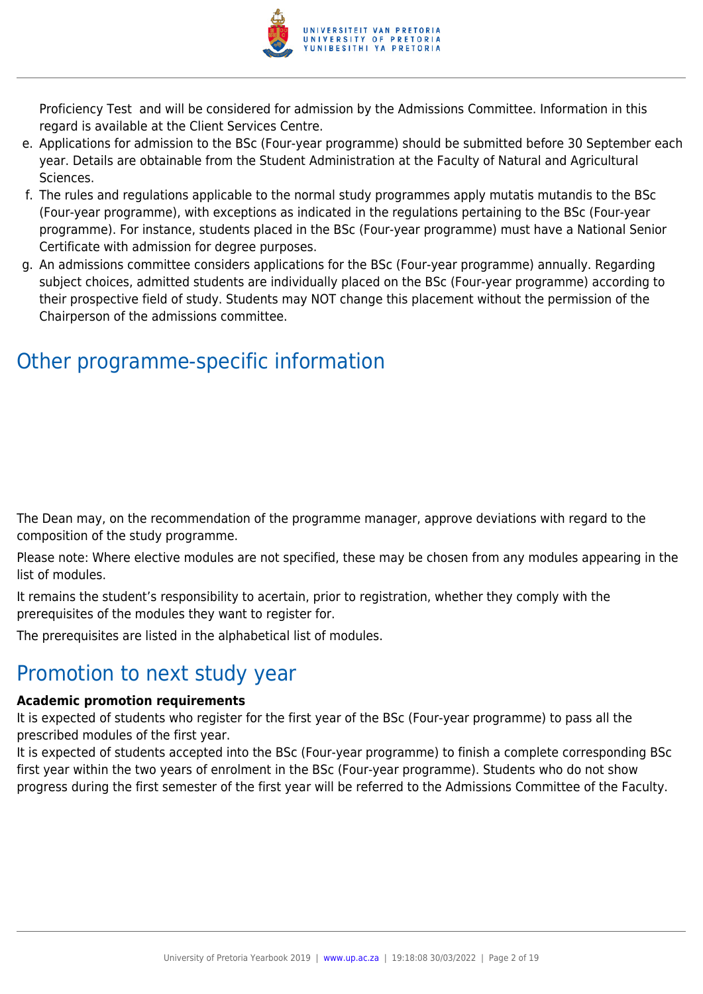

Proficiency Test and will be considered for admission by the Admissions Committee. Information in this regard is available at the Client Services Centre.

- e. Applications for admission to the BSc (Four-year programme) should be submitted before 30 September each year. Details are obtainable from the Student Administration at the Faculty of Natural and Agricultural Sciences.
- f. The rules and regulations applicable to the normal study programmes apply mutatis mutandis to the BSc (Four-year programme), with exceptions as indicated in the regulations pertaining to the BSc (Four-year programme). For instance, students placed in the BSc (Four-year programme) must have a National Senior Certificate with admission for degree purposes.
- g. An admissions committee considers applications for the BSc (Four-year programme) annually. Regarding subject choices, admitted students are individually placed on the BSc (Four-year programme) according to their prospective field of study. Students may NOT change this placement without the permission of the Chairperson of the admissions committee.

# Other programme-specific information

The Dean may, on the recommendation of the programme manager, approve deviations with regard to the composition of the study programme.

Please note: Where elective modules are not specified, these may be chosen from any modules appearing in the list of modules.

It remains the student's responsibility to acertain, prior to registration, whether they comply with the prerequisites of the modules they want to register for.

The prerequisites are listed in the alphabetical list of modules.

# Promotion to next study year

#### **Academic promotion requirements**

It is expected of students who register for the first year of the BSc (Four-year programme) to pass all the prescribed modules of the first year.

It is expected of students accepted into the BSc (Four-year programme) to finish a complete corresponding BSc first year within the two years of enrolment in the BSc (Four-year programme). Students who do not show progress during the first semester of the first year will be referred to the Admissions Committee of the Faculty.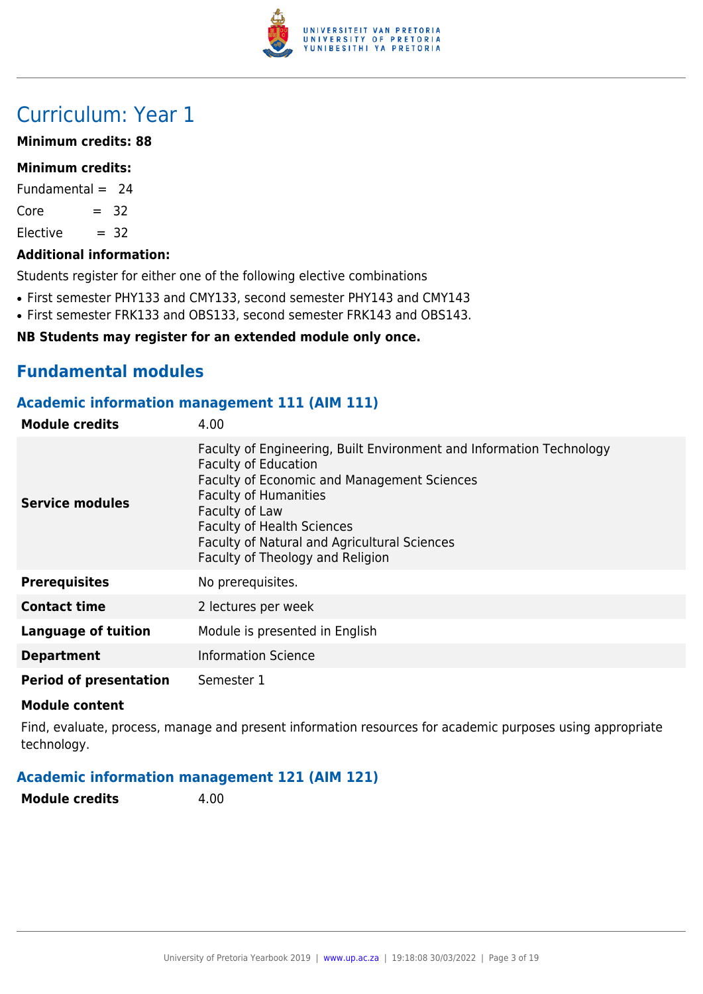

# Curriculum: Year 1

#### **Minimum credits: 88**

#### **Minimum credits:**

Fundamental  $= 24$ 

 $Core = 32$ 

 $Electric = 32$ 

#### **Additional information:**

Students register for either one of the following elective combinations

- First semester PHY133 and CMY133, second semester PHY143 and CMY143
- First semester FRK133 and OBS133, second semester FRK143 and OBS143.

#### **NB Students may register for an extended module only once.**

# **Fundamental modules**

#### **Academic information management 111 (AIM 111)**

| <b>Module credits</b>         | 4.00                                                                                                                                                                                                                                                                                                                          |
|-------------------------------|-------------------------------------------------------------------------------------------------------------------------------------------------------------------------------------------------------------------------------------------------------------------------------------------------------------------------------|
| Service modules               | Faculty of Engineering, Built Environment and Information Technology<br><b>Faculty of Education</b><br>Faculty of Economic and Management Sciences<br><b>Faculty of Humanities</b><br>Faculty of Law<br><b>Faculty of Health Sciences</b><br>Faculty of Natural and Agricultural Sciences<br>Faculty of Theology and Religion |
| <b>Prerequisites</b>          | No prerequisites.                                                                                                                                                                                                                                                                                                             |
| <b>Contact time</b>           | 2 lectures per week                                                                                                                                                                                                                                                                                                           |
| <b>Language of tuition</b>    | Module is presented in English                                                                                                                                                                                                                                                                                                |
| <b>Department</b>             | <b>Information Science</b>                                                                                                                                                                                                                                                                                                    |
| <b>Period of presentation</b> | Semester 1                                                                                                                                                                                                                                                                                                                    |

#### **Module content**

Find, evaluate, process, manage and present information resources for academic purposes using appropriate technology.

#### **Academic information management 121 (AIM 121)**

**Module credits** 4.00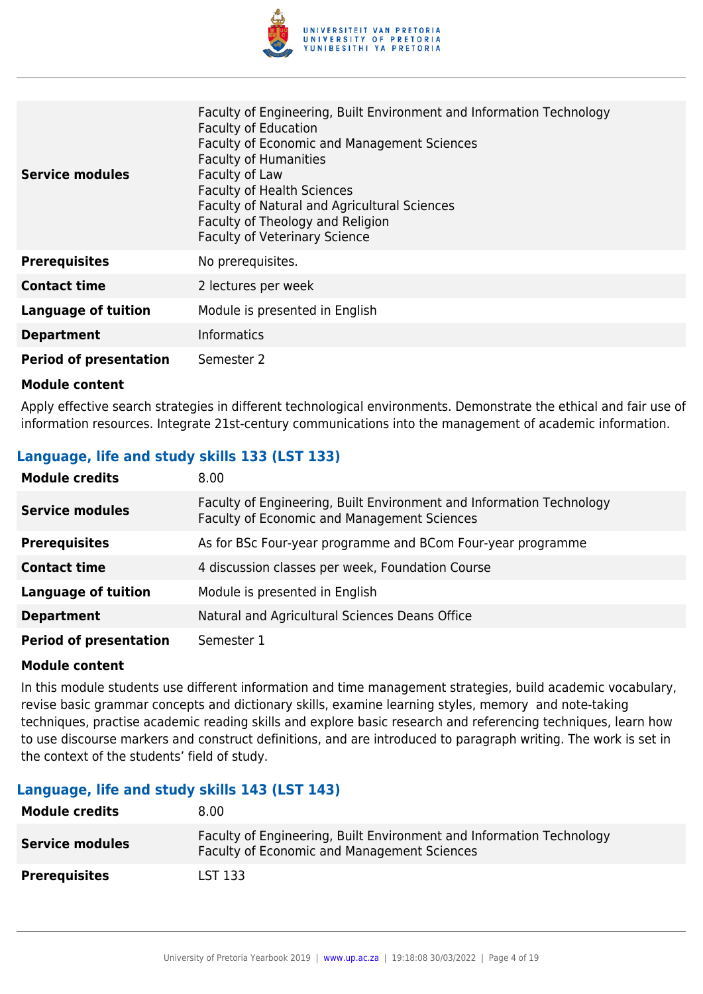

| <b>Service modules</b>        | Faculty of Engineering, Built Environment and Information Technology<br><b>Faculty of Education</b><br><b>Faculty of Economic and Management Sciences</b><br><b>Faculty of Humanities</b><br>Faculty of Law<br><b>Faculty of Health Sciences</b><br>Faculty of Natural and Agricultural Sciences<br>Faculty of Theology and Religion<br><b>Faculty of Veterinary Science</b> |
|-------------------------------|------------------------------------------------------------------------------------------------------------------------------------------------------------------------------------------------------------------------------------------------------------------------------------------------------------------------------------------------------------------------------|
| <b>Prerequisites</b>          | No prerequisites.                                                                                                                                                                                                                                                                                                                                                            |
| <b>Contact time</b>           | 2 lectures per week                                                                                                                                                                                                                                                                                                                                                          |
| <b>Language of tuition</b>    | Module is presented in English                                                                                                                                                                                                                                                                                                                                               |
| <b>Department</b>             | <b>Informatics</b>                                                                                                                                                                                                                                                                                                                                                           |
| <b>Period of presentation</b> | Semester 2                                                                                                                                                                                                                                                                                                                                                                   |

Apply effective search strategies in different technological environments. Demonstrate the ethical and fair use of information resources. Integrate 21st-century communications into the management of academic information.

### **Language, life and study skills 133 (LST 133)**

| <b>Module credits</b>         | 8.00                                                                                                                |
|-------------------------------|---------------------------------------------------------------------------------------------------------------------|
| <b>Service modules</b>        | Faculty of Engineering, Built Environment and Information Technology<br>Faculty of Economic and Management Sciences |
| <b>Prerequisites</b>          | As for BSc Four-year programme and BCom Four-year programme                                                         |
| <b>Contact time</b>           | 4 discussion classes per week, Foundation Course                                                                    |
| <b>Language of tuition</b>    | Module is presented in English                                                                                      |
| <b>Department</b>             | Natural and Agricultural Sciences Deans Office                                                                      |
| <b>Period of presentation</b> | Semester 1                                                                                                          |

#### **Module content**

In this module students use different information and time management strategies, build academic vocabulary, revise basic grammar concepts and dictionary skills, examine learning styles, memory and note-taking techniques, practise academic reading skills and explore basic research and referencing techniques, learn how to use discourse markers and construct definitions, and are introduced to paragraph writing. The work is set in the context of the students' field of study.

#### **Language, life and study skills 143 (LST 143)**

| <b>Module credits</b>  | 8.00 <sub>1</sub>                                                                                                          |
|------------------------|----------------------------------------------------------------------------------------------------------------------------|
| <b>Service modules</b> | Faculty of Engineering, Built Environment and Information Technology<br><b>Faculty of Economic and Management Sciences</b> |
| <b>Prerequisites</b>   | LST 133                                                                                                                    |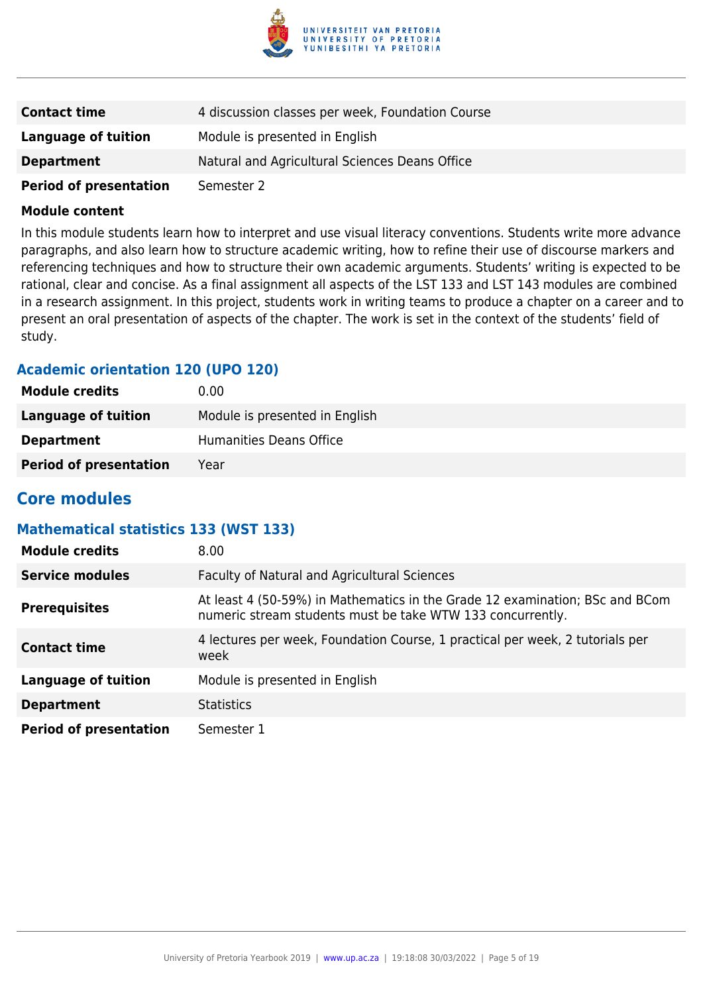

| <b>Contact time</b>           | 4 discussion classes per week, Foundation Course |
|-------------------------------|--------------------------------------------------|
| Language of tuition           | Module is presented in English                   |
| <b>Department</b>             | Natural and Agricultural Sciences Deans Office   |
| <b>Period of presentation</b> | Semester 2                                       |

In this module students learn how to interpret and use visual literacy conventions. Students write more advance paragraphs, and also learn how to structure academic writing, how to refine their use of discourse markers and referencing techniques and how to structure their own academic arguments. Students' writing is expected to be rational, clear and concise. As a final assignment all aspects of the LST 133 and LST 143 modules are combined in a research assignment. In this project, students work in writing teams to produce a chapter on a career and to present an oral presentation of aspects of the chapter. The work is set in the context of the students' field of study.

### **Academic orientation 120 (UPO 120)**

| <b>Module credits</b>         | 0.00                           |
|-------------------------------|--------------------------------|
| Language of tuition           | Module is presented in English |
| <b>Department</b>             | Humanities Deans Office        |
| <b>Period of presentation</b> | Year                           |

# **Core modules**

#### **Mathematical statistics 133 (WST 133)**

| <b>Module credits</b>         | 8.00                                                                                                                                       |
|-------------------------------|--------------------------------------------------------------------------------------------------------------------------------------------|
| <b>Service modules</b>        | <b>Faculty of Natural and Agricultural Sciences</b>                                                                                        |
| <b>Prerequisites</b>          | At least 4 (50-59%) in Mathematics in the Grade 12 examination; BSc and BCom<br>numeric stream students must be take WTW 133 concurrently. |
| <b>Contact time</b>           | 4 lectures per week, Foundation Course, 1 practical per week, 2 tutorials per<br>week                                                      |
| <b>Language of tuition</b>    | Module is presented in English                                                                                                             |
| <b>Department</b>             | <b>Statistics</b>                                                                                                                          |
| <b>Period of presentation</b> | Semester 1                                                                                                                                 |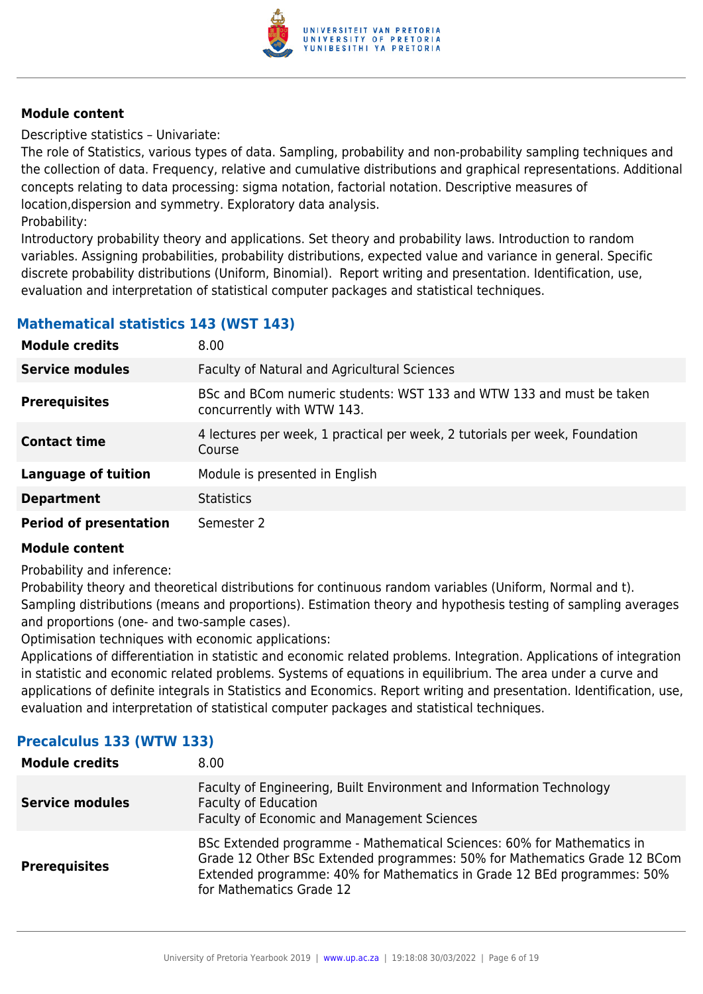

Descriptive statistics – Univariate:

The role of Statistics, various types of data. Sampling, probability and non-probability sampling techniques and the collection of data. Frequency, relative and cumulative distributions and graphical representations. Additional concepts relating to data processing: sigma notation, factorial notation. Descriptive measures of location,dispersion and symmetry. Exploratory data analysis.

Probability:

Introductory probability theory and applications. Set theory and probability laws. Introduction to random variables. Assigning probabilities, probability distributions, expected value and variance in general. Specific discrete probability distributions (Uniform, Binomial). Report writing and presentation. Identification, use, evaluation and interpretation of statistical computer packages and statistical techniques.

# **Mathematical statistics 143 (WST 143)**

| <b>Module credits</b>         | 8.00                                                                                               |
|-------------------------------|----------------------------------------------------------------------------------------------------|
| <b>Service modules</b>        | Faculty of Natural and Agricultural Sciences                                                       |
| <b>Prerequisites</b>          | BSc and BCom numeric students: WST 133 and WTW 133 and must be taken<br>concurrently with WTW 143. |
| <b>Contact time</b>           | 4 lectures per week, 1 practical per week, 2 tutorials per week, Foundation<br>Course              |
| <b>Language of tuition</b>    | Module is presented in English                                                                     |
| <b>Department</b>             | <b>Statistics</b>                                                                                  |
| <b>Period of presentation</b> | Semester 2                                                                                         |

#### **Module content**

Probability and inference:

Probability theory and theoretical distributions for continuous random variables (Uniform, Normal and t). Sampling distributions (means and proportions). Estimation theory and hypothesis testing of sampling averages and proportions (one- and two-sample cases).

Optimisation techniques with economic applications:

Applications of differentiation in statistic and economic related problems. Integration. Applications of integration in statistic and economic related problems. Systems of equations in equilibrium. The area under a curve and applications of definite integrals in Statistics and Economics. Report writing and presentation. Identification, use, evaluation and interpretation of statistical computer packages and statistical techniques.

# **Precalculus 133 (WTW 133)**

| <b>Module credits</b>  | 8.00                                                                                                                                                                                                                                                       |
|------------------------|------------------------------------------------------------------------------------------------------------------------------------------------------------------------------------------------------------------------------------------------------------|
| <b>Service modules</b> | Faculty of Engineering, Built Environment and Information Technology<br><b>Faculty of Education</b><br>Faculty of Economic and Management Sciences                                                                                                         |
| <b>Prerequisites</b>   | BSc Extended programme - Mathematical Sciences: 60% for Mathematics in<br>Grade 12 Other BSc Extended programmes: 50% for Mathematics Grade 12 BCom<br>Extended programme: 40% for Mathematics in Grade 12 BEd programmes: 50%<br>for Mathematics Grade 12 |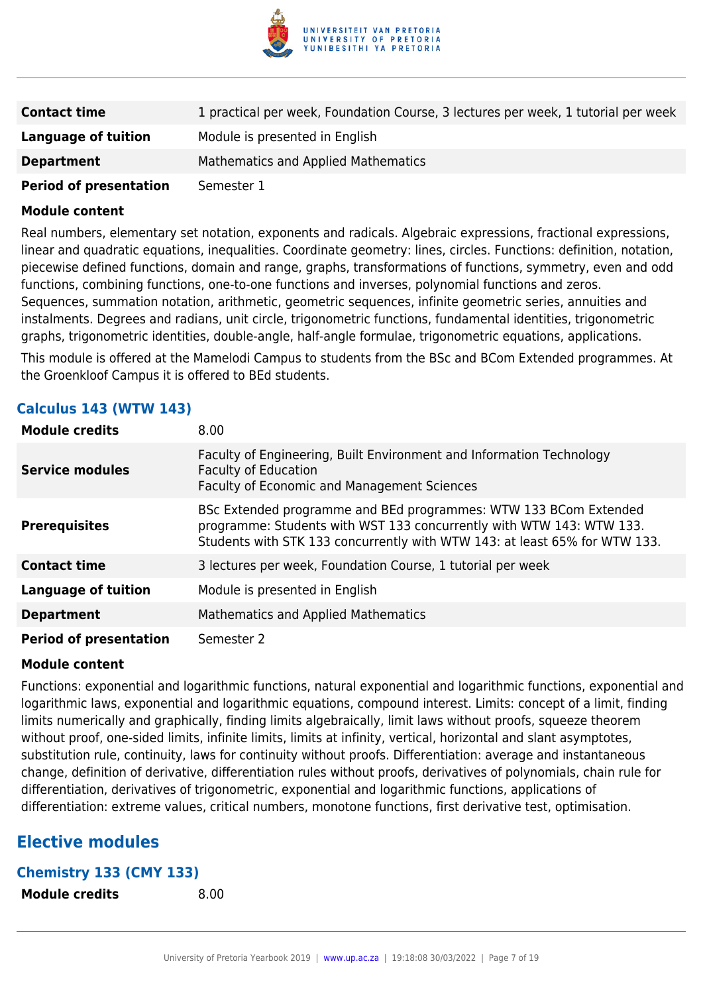

| <b>Contact time</b>           | 1 practical per week, Foundation Course, 3 lectures per week, 1 tutorial per week |
|-------------------------------|-----------------------------------------------------------------------------------|
| Language of tuition           | Module is presented in English                                                    |
| <b>Department</b>             | Mathematics and Applied Mathematics                                               |
| <b>Period of presentation</b> | Semester 1                                                                        |

Real numbers, elementary set notation, exponents and radicals. Algebraic expressions, fractional expressions, linear and quadratic equations, inequalities. Coordinate geometry: lines, circles. Functions: definition, notation, piecewise defined functions, domain and range, graphs, transformations of functions, symmetry, even and odd functions, combining functions, one-to-one functions and inverses, polynomial functions and zeros. Sequences, summation notation, arithmetic, geometric sequences, infinite geometric series, annuities and instalments. Degrees and radians, unit circle, trigonometric functions, fundamental identities, trigonometric graphs, trigonometric identities, double-angle, half-angle formulae, trigonometric equations, applications.

This module is offered at the Mamelodi Campus to students from the BSc and BCom Extended programmes. At the Groenkloof Campus it is offered to BEd students.

| <b>Module credits</b>         | 8.00                                                                                                                                                                                                                   |
|-------------------------------|------------------------------------------------------------------------------------------------------------------------------------------------------------------------------------------------------------------------|
| <b>Service modules</b>        | Faculty of Engineering, Built Environment and Information Technology<br><b>Faculty of Education</b><br>Faculty of Economic and Management Sciences                                                                     |
| <b>Prerequisites</b>          | BSc Extended programme and BEd programmes: WTW 133 BCom Extended<br>programme: Students with WST 133 concurrently with WTW 143: WTW 133.<br>Students with STK 133 concurrently with WTW 143: at least 65% for WTW 133. |
| <b>Contact time</b>           | 3 lectures per week, Foundation Course, 1 tutorial per week                                                                                                                                                            |
| <b>Language of tuition</b>    | Module is presented in English                                                                                                                                                                                         |
| <b>Department</b>             | <b>Mathematics and Applied Mathematics</b>                                                                                                                                                                             |
| <b>Period of presentation</b> | Semester 2                                                                                                                                                                                                             |

### **Calculus 143 (WTW 143)**

#### **Module content**

Functions: exponential and logarithmic functions, natural exponential and logarithmic functions, exponential and logarithmic laws, exponential and logarithmic equations, compound interest. Limits: concept of a limit, finding limits numerically and graphically, finding limits algebraically, limit laws without proofs, squeeze theorem without proof, one-sided limits, infinite limits, limits at infinity, vertical, horizontal and slant asymptotes, substitution rule, continuity, laws for continuity without proofs. Differentiation: average and instantaneous change, definition of derivative, differentiation rules without proofs, derivatives of polynomials, chain rule for differentiation, derivatives of trigonometric, exponential and logarithmic functions, applications of differentiation: extreme values, critical numbers, monotone functions, first derivative test, optimisation.

# **Elective modules**

#### **Chemistry 133 (CMY 133)**

**Module credits** 8.00

| <b>Module credits</b> |  |  |
|-----------------------|--|--|
|-----------------------|--|--|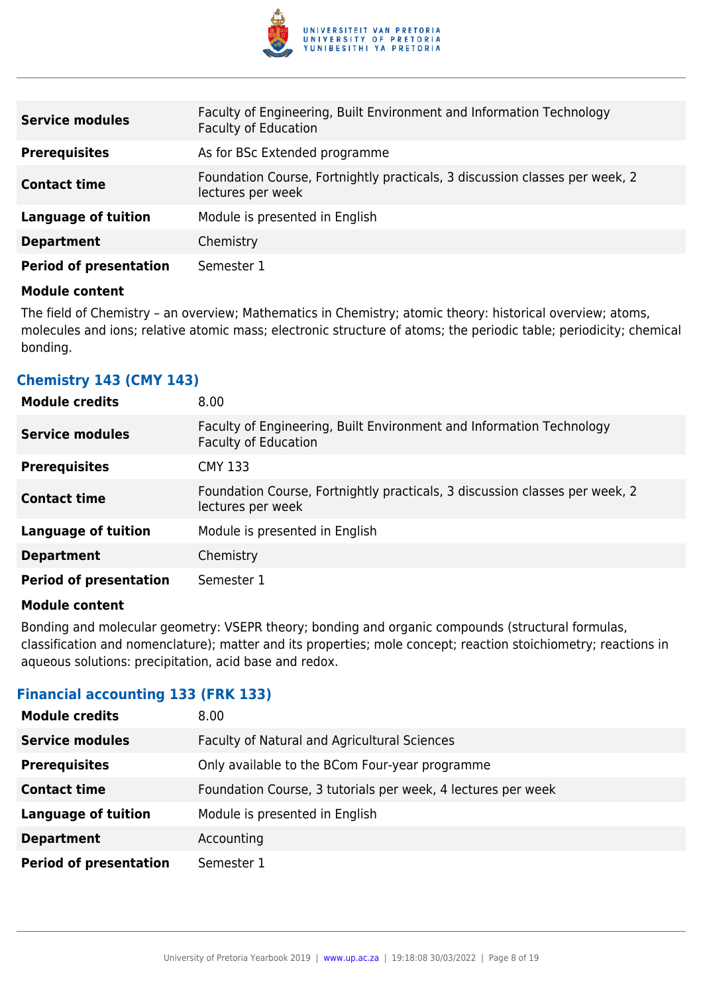

| <b>Service modules</b>        | Faculty of Engineering, Built Environment and Information Technology<br><b>Faculty of Education</b> |
|-------------------------------|-----------------------------------------------------------------------------------------------------|
| <b>Prerequisites</b>          | As for BSc Extended programme                                                                       |
| <b>Contact time</b>           | Foundation Course, Fortnightly practicals, 3 discussion classes per week, 2<br>lectures per week    |
| <b>Language of tuition</b>    | Module is presented in English                                                                      |
| <b>Department</b>             | Chemistry                                                                                           |
| <b>Period of presentation</b> | Semester 1                                                                                          |

The field of Chemistry – an overview; Mathematics in Chemistry; atomic theory: historical overview; atoms, molecules and ions; relative atomic mass; electronic structure of atoms; the periodic table; periodicity; chemical bonding.

# **Chemistry 143 (CMY 143)**

| <b>Module credits</b>         | 8.00                                                                                                |
|-------------------------------|-----------------------------------------------------------------------------------------------------|
| <b>Service modules</b>        | Faculty of Engineering, Built Environment and Information Technology<br><b>Faculty of Education</b> |
| <b>Prerequisites</b>          | <b>CMY 133</b>                                                                                      |
| <b>Contact time</b>           | Foundation Course, Fortnightly practicals, 3 discussion classes per week, 2<br>lectures per week    |
| <b>Language of tuition</b>    | Module is presented in English                                                                      |
| <b>Department</b>             | Chemistry                                                                                           |
| <b>Period of presentation</b> | Semester 1                                                                                          |

#### **Module content**

Bonding and molecular geometry: VSEPR theory; bonding and organic compounds (structural formulas, classification and nomenclature); matter and its properties; mole concept; reaction stoichiometry; reactions in aqueous solutions: precipitation, acid base and redox.

#### **Financial accounting 133 (FRK 133)**

| <b>Module credits</b>         | 8.00                                                         |
|-------------------------------|--------------------------------------------------------------|
| <b>Service modules</b>        | Faculty of Natural and Agricultural Sciences                 |
| <b>Prerequisites</b>          | Only available to the BCom Four-year programme               |
| <b>Contact time</b>           | Foundation Course, 3 tutorials per week, 4 lectures per week |
| <b>Language of tuition</b>    | Module is presented in English                               |
| <b>Department</b>             | Accounting                                                   |
| <b>Period of presentation</b> | Semester 1                                                   |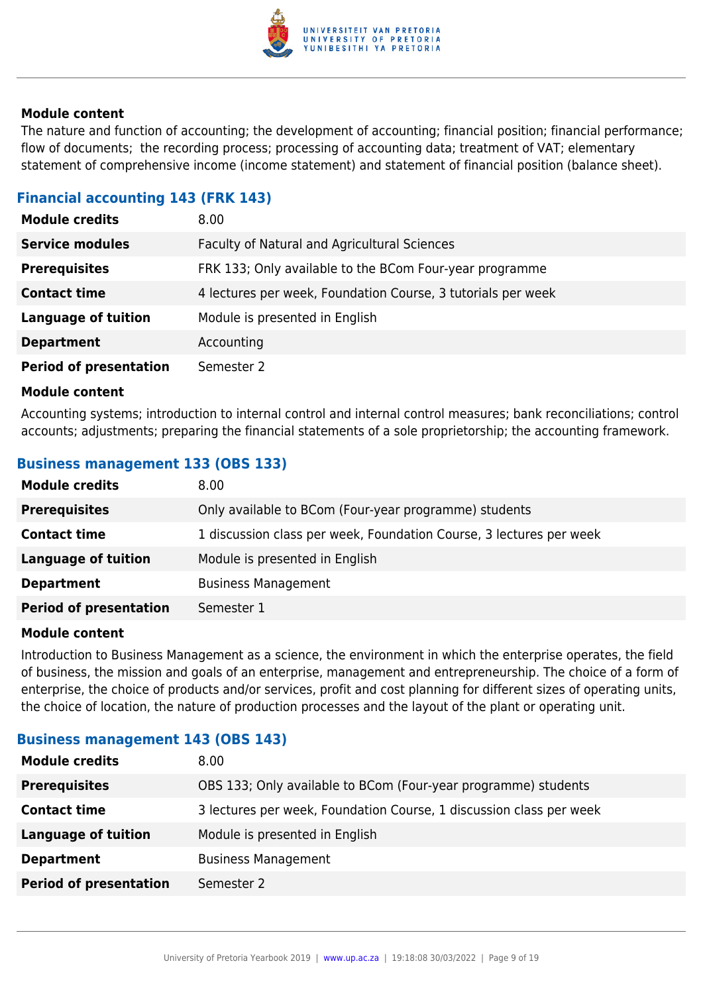

The nature and function of accounting; the development of accounting; financial position; financial performance; flow of documents; the recording process; processing of accounting data; treatment of VAT; elementary statement of comprehensive income (income statement) and statement of financial position (balance sheet).

### **Financial accounting 143 (FRK 143)**

| <b>Module credits</b>         | 8.00 <sub>1</sub>                                            |
|-------------------------------|--------------------------------------------------------------|
| <b>Service modules</b>        | Faculty of Natural and Agricultural Sciences                 |
| <b>Prerequisites</b>          | FRK 133; Only available to the BCom Four-year programme      |
| <b>Contact time</b>           | 4 lectures per week, Foundation Course, 3 tutorials per week |
| <b>Language of tuition</b>    | Module is presented in English                               |
| <b>Department</b>             | Accounting                                                   |
| <b>Period of presentation</b> | Semester 2                                                   |

#### **Module content**

Accounting systems; introduction to internal control and internal control measures; bank reconciliations; control accounts; adjustments; preparing the financial statements of a sole proprietorship; the accounting framework.

# **Business management 133 (OBS 133)**

| <b>Module credits</b>         | 8.00                                                                |
|-------------------------------|---------------------------------------------------------------------|
| <b>Prerequisites</b>          | Only available to BCom (Four-year programme) students               |
| <b>Contact time</b>           | 1 discussion class per week, Foundation Course, 3 lectures per week |
| <b>Language of tuition</b>    | Module is presented in English                                      |
| <b>Department</b>             | <b>Business Management</b>                                          |
| <b>Period of presentation</b> | Semester 1                                                          |

#### **Module content**

Introduction to Business Management as a science, the environment in which the enterprise operates, the field of business, the mission and goals of an enterprise, management and entrepreneurship. The choice of a form of enterprise, the choice of products and/or services, profit and cost planning for different sizes of operating units, the choice of location, the nature of production processes and the layout of the plant or operating unit.

| Pashitos Management 275 (995 275) |                                                                     |
|-----------------------------------|---------------------------------------------------------------------|
| <b>Module credits</b>             | 8.00                                                                |
| <b>Prerequisites</b>              | OBS 133; Only available to BCom (Four-year programme) students      |
| <b>Contact time</b>               | 3 lectures per week, Foundation Course, 1 discussion class per week |
| <b>Language of tuition</b>        | Module is presented in English                                      |
| <b>Department</b>                 | <b>Business Management</b>                                          |
| <b>Period of presentation</b>     | Semester 2                                                          |

### **Business management 143 (OBS 143)**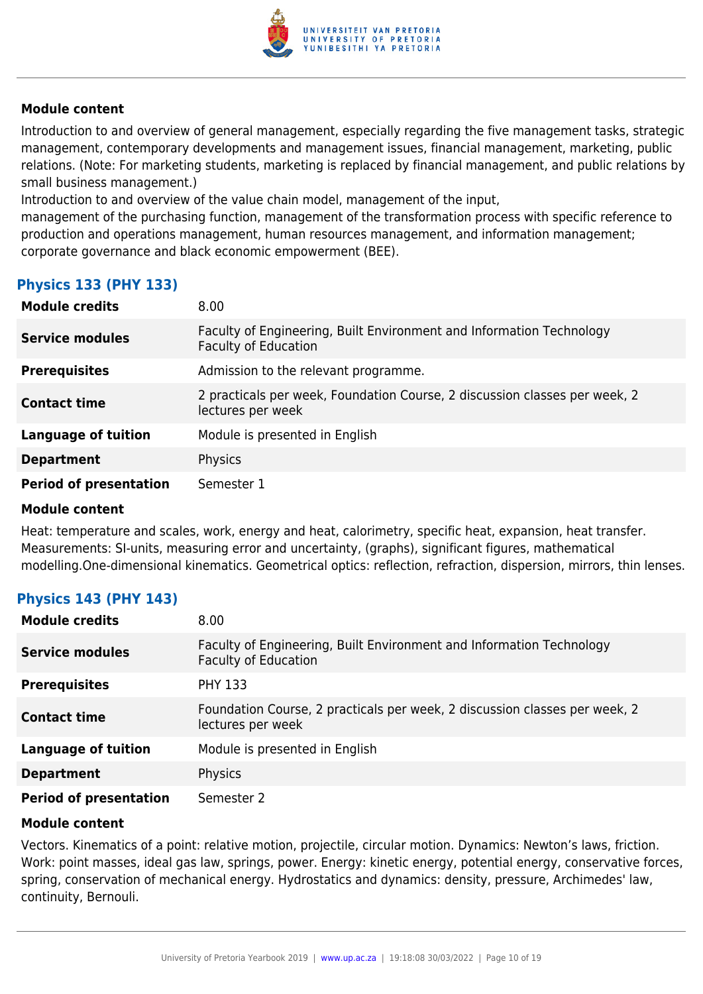

Introduction to and overview of general management, especially regarding the five management tasks, strategic management, contemporary developments and management issues, financial management, marketing, public relations. (Note: For marketing students, marketing is replaced by financial management, and public relations by small business management.)

Introduction to and overview of the value chain model, management of the input,

management of the purchasing function, management of the transformation process with specific reference to production and operations management, human resources management, and information management; corporate governance and black economic empowerment (BEE).

# **Physics 133 (PHY 133)**

| <b>Module credits</b>         | 8.00                                                                                                |
|-------------------------------|-----------------------------------------------------------------------------------------------------|
| <b>Service modules</b>        | Faculty of Engineering, Built Environment and Information Technology<br><b>Faculty of Education</b> |
| <b>Prerequisites</b>          | Admission to the relevant programme.                                                                |
| <b>Contact time</b>           | 2 practicals per week, Foundation Course, 2 discussion classes per week, 2<br>lectures per week     |
| <b>Language of tuition</b>    | Module is presented in English                                                                      |
| <b>Department</b>             | Physics                                                                                             |
| <b>Period of presentation</b> | Semester 1                                                                                          |

#### **Module content**

Heat: temperature and scales, work, energy and heat, calorimetry, specific heat, expansion, heat transfer. Measurements: SI-units, measuring error and uncertainty, (graphs), significant figures, mathematical modelling.One-dimensional kinematics. Geometrical optics: reflection, refraction, dispersion, mirrors, thin lenses.

# **Physics 143 (PHY 143)**

| <b>Module credits</b>         | 8.00                                                                                                |
|-------------------------------|-----------------------------------------------------------------------------------------------------|
| <b>Service modules</b>        | Faculty of Engineering, Built Environment and Information Technology<br><b>Faculty of Education</b> |
| <b>Prerequisites</b>          | <b>PHY 133</b>                                                                                      |
| <b>Contact time</b>           | Foundation Course, 2 practicals per week, 2 discussion classes per week, 2<br>lectures per week     |
| <b>Language of tuition</b>    | Module is presented in English                                                                      |
| <b>Department</b>             | Physics                                                                                             |
| <b>Period of presentation</b> | Semester 2                                                                                          |

#### **Module content**

Vectors. Kinematics of a point: relative motion, projectile, circular motion. Dynamics: Newton's laws, friction. Work: point masses, ideal gas law, springs, power. Energy: kinetic energy, potential energy, conservative forces, spring, conservation of mechanical energy. Hydrostatics and dynamics: density, pressure, Archimedes' law, continuity, Bernouli.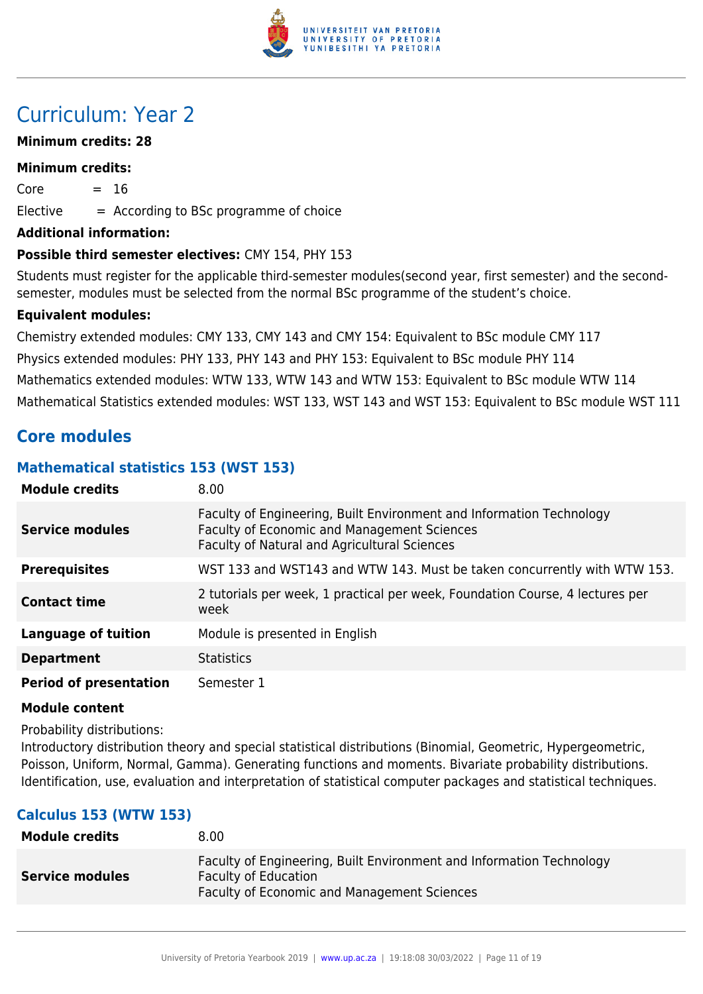

# Curriculum: Year 2

### **Minimum credits: 28**

#### **Minimum credits:**

 $Core = 16$  $E$ lective  $=$  According to BSc programme of choice

#### **Additional information:**

#### **Possible third semester electives:** CMY 154, PHY 153

Students must register for the applicable third-semester modules(second year, first semester) and the secondsemester, modules must be selected from the normal BSc programme of the student's choice.

#### **Equivalent modules:**

Chemistry extended modules: CMY 133, CMY 143 and CMY 154: Equivalent to BSc module CMY 117 Physics extended modules: PHY 133, PHY 143 and PHY 153: Equivalent to BSc module PHY 114 Mathematics extended modules: WTW 133, WTW 143 and WTW 153: Equivalent to BSc module WTW 114 Mathematical Statistics extended modules: WST 133, WST 143 and WST 153: Equivalent to BSc module WST 111

# **Core modules**

### **Mathematical statistics 153 (WST 153)**

| <b>Module credits</b>         | 8.00                                                                                                                                                                |
|-------------------------------|---------------------------------------------------------------------------------------------------------------------------------------------------------------------|
| <b>Service modules</b>        | Faculty of Engineering, Built Environment and Information Technology<br>Faculty of Economic and Management Sciences<br>Faculty of Natural and Agricultural Sciences |
| <b>Prerequisites</b>          | WST 133 and WST143 and WTW 143. Must be taken concurrently with WTW 153.                                                                                            |
| <b>Contact time</b>           | 2 tutorials per week, 1 practical per week, Foundation Course, 4 lectures per<br>week                                                                               |
| <b>Language of tuition</b>    | Module is presented in English                                                                                                                                      |
| <b>Department</b>             | <b>Statistics</b>                                                                                                                                                   |
| <b>Period of presentation</b> | Semester 1                                                                                                                                                          |

#### **Module content**

Probability distributions:

Introductory distribution theory and special statistical distributions (Binomial, Geometric, Hypergeometric, Poisson, Uniform, Normal, Gamma). Generating functions and moments. Bivariate probability distributions. Identification, use, evaluation and interpretation of statistical computer packages and statistical techniques.

# **Calculus 153 (WTW 153)**

| <b>Module credits</b>  | 8.00                                                                                                                                               |
|------------------------|----------------------------------------------------------------------------------------------------------------------------------------------------|
| <b>Service modules</b> | Faculty of Engineering, Built Environment and Information Technology<br><b>Faculty of Education</b><br>Faculty of Economic and Management Sciences |
|                        |                                                                                                                                                    |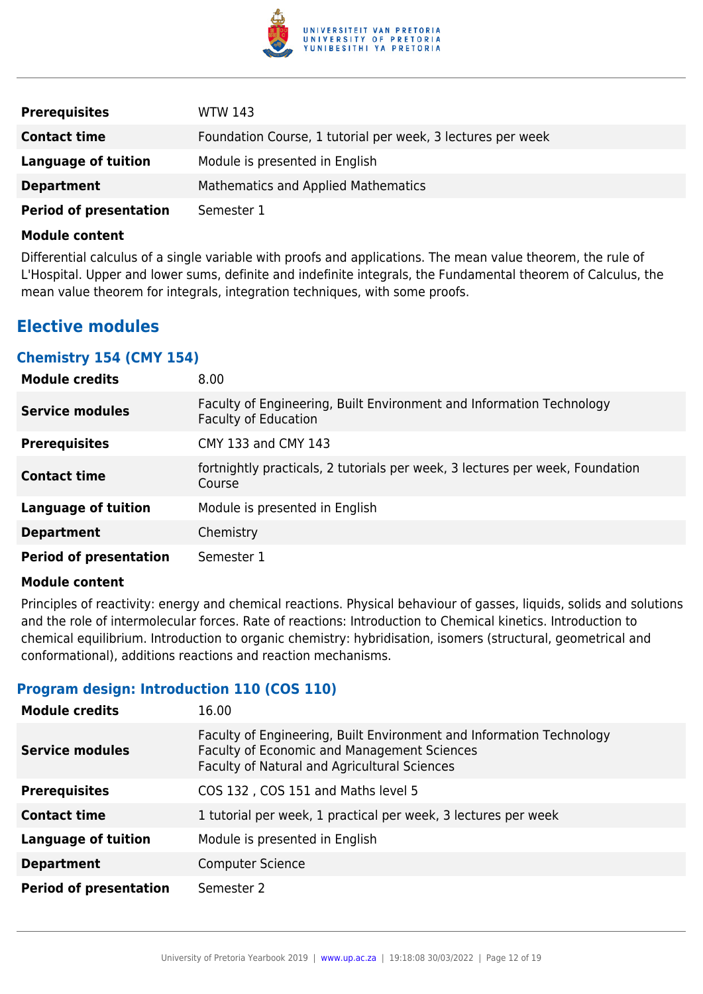

| <b>Prerequisites</b>          | WTW 143                                                     |
|-------------------------------|-------------------------------------------------------------|
| <b>Contact time</b>           | Foundation Course, 1 tutorial per week, 3 lectures per week |
| Language of tuition           | Module is presented in English                              |
| <b>Department</b>             | Mathematics and Applied Mathematics                         |
| <b>Period of presentation</b> | Semester 1                                                  |

Differential calculus of a single variable with proofs and applications. The mean value theorem, the rule of L'Hospital. Upper and lower sums, definite and indefinite integrals, the Fundamental theorem of Calculus, the mean value theorem for integrals, integration techniques, with some proofs.

# **Elective modules**

#### **Chemistry 154 (CMY 154)**

| <b>Module credits</b>         | 8.00                                                                                                |
|-------------------------------|-----------------------------------------------------------------------------------------------------|
| <b>Service modules</b>        | Faculty of Engineering, Built Environment and Information Technology<br><b>Faculty of Education</b> |
| <b>Prerequisites</b>          | CMY 133 and CMY 143                                                                                 |
| <b>Contact time</b>           | fortnightly practicals, 2 tutorials per week, 3 lectures per week, Foundation<br>Course             |
| <b>Language of tuition</b>    | Module is presented in English                                                                      |
| <b>Department</b>             | Chemistry                                                                                           |
| <b>Period of presentation</b> | Semester 1                                                                                          |

#### **Module content**

Principles of reactivity: energy and chemical reactions. Physical behaviour of gasses, liquids, solids and solutions and the role of intermolecular forces. Rate of reactions: Introduction to Chemical kinetics. Introduction to chemical equilibrium. Introduction to organic chemistry: hybridisation, isomers (structural, geometrical and conformational), additions reactions and reaction mechanisms.

### **Program design: Introduction 110 (COS 110)**

| <b>Module credits</b>         | 16.00                                                                                                                                                                      |
|-------------------------------|----------------------------------------------------------------------------------------------------------------------------------------------------------------------------|
| <b>Service modules</b>        | Faculty of Engineering, Built Environment and Information Technology<br>Faculty of Economic and Management Sciences<br><b>Faculty of Natural and Agricultural Sciences</b> |
| <b>Prerequisites</b>          | COS 132, COS 151 and Maths level 5                                                                                                                                         |
| <b>Contact time</b>           | 1 tutorial per week, 1 practical per week, 3 lectures per week                                                                                                             |
| Language of tuition           | Module is presented in English                                                                                                                                             |
| <b>Department</b>             | <b>Computer Science</b>                                                                                                                                                    |
| <b>Period of presentation</b> | Semester 2                                                                                                                                                                 |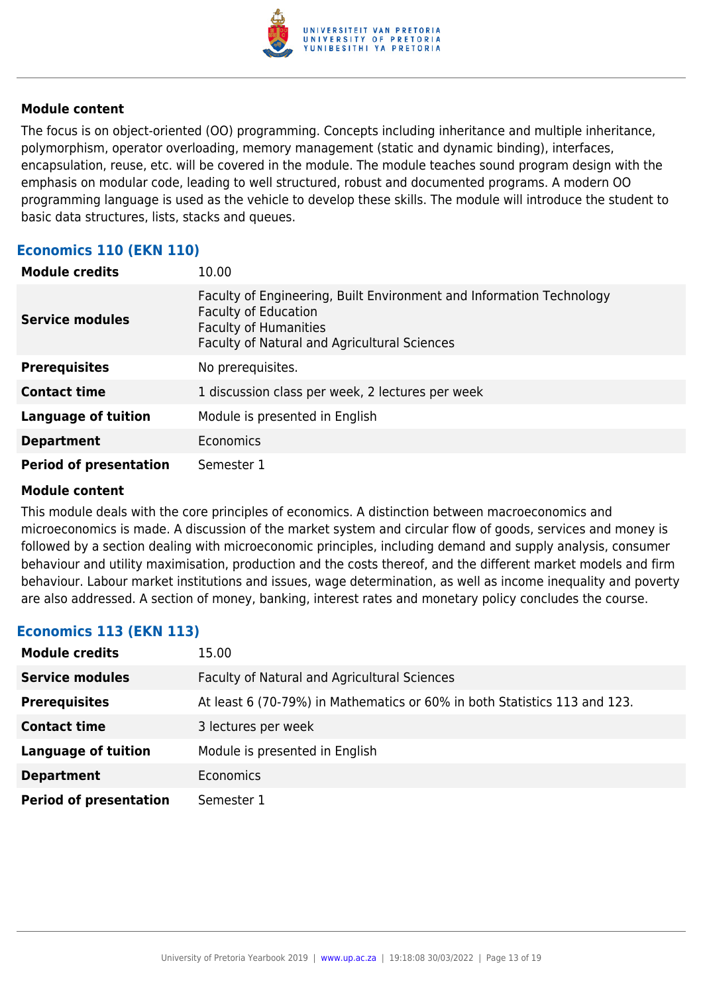

The focus is on object-oriented (OO) programming. Concepts including inheritance and multiple inheritance, polymorphism, operator overloading, memory management (static and dynamic binding), interfaces, encapsulation, reuse, etc. will be covered in the module. The module teaches sound program design with the emphasis on modular code, leading to well structured, robust and documented programs. A modern OO programming language is used as the vehicle to develop these skills. The module will introduce the student to basic data structures, lists, stacks and queues.

# **Economics 110 (EKN 110)**

| <b>Module credits</b>         | 10.00                                                                                                                                                                               |
|-------------------------------|-------------------------------------------------------------------------------------------------------------------------------------------------------------------------------------|
| <b>Service modules</b>        | Faculty of Engineering, Built Environment and Information Technology<br><b>Faculty of Education</b><br><b>Faculty of Humanities</b><br>Faculty of Natural and Agricultural Sciences |
| <b>Prerequisites</b>          | No prerequisites.                                                                                                                                                                   |
| <b>Contact time</b>           | 1 discussion class per week, 2 lectures per week                                                                                                                                    |
| <b>Language of tuition</b>    | Module is presented in English                                                                                                                                                      |
| <b>Department</b>             | Economics                                                                                                                                                                           |
| <b>Period of presentation</b> | Semester 1                                                                                                                                                                          |

#### **Module content**

This module deals with the core principles of economics. A distinction between macroeconomics and microeconomics is made. A discussion of the market system and circular flow of goods, services and money is followed by a section dealing with microeconomic principles, including demand and supply analysis, consumer behaviour and utility maximisation, production and the costs thereof, and the different market models and firm behaviour. Labour market institutions and issues, wage determination, as well as income inequality and poverty are also addressed. A section of money, banking, interest rates and monetary policy concludes the course.

# **Economics 113 (EKN 113)**

| <b>Module credits</b>         | 15.00                                                                     |
|-------------------------------|---------------------------------------------------------------------------|
| <b>Service modules</b>        | Faculty of Natural and Agricultural Sciences                              |
| <b>Prerequisites</b>          | At least 6 (70-79%) in Mathematics or 60% in both Statistics 113 and 123. |
| <b>Contact time</b>           | 3 lectures per week                                                       |
| <b>Language of tuition</b>    | Module is presented in English                                            |
| <b>Department</b>             | Economics                                                                 |
| <b>Period of presentation</b> | Semester 1                                                                |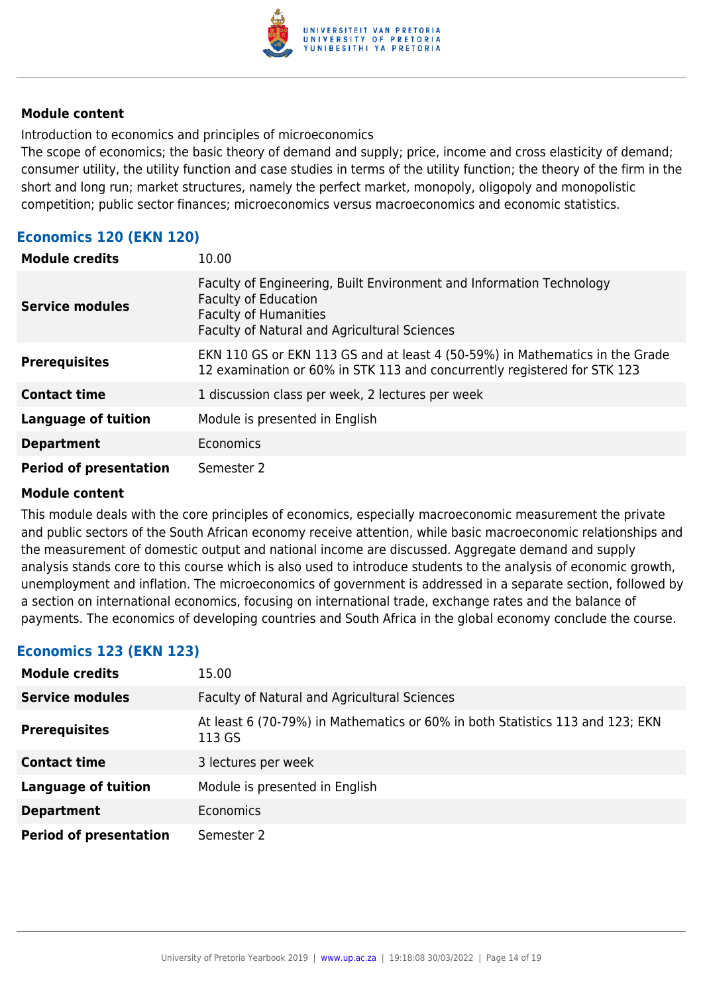

Introduction to economics and principles of microeconomics

The scope of economics; the basic theory of demand and supply; price, income and cross elasticity of demand; consumer utility, the utility function and case studies in terms of the utility function; the theory of the firm in the short and long run; market structures, namely the perfect market, monopoly, oligopoly and monopolistic competition; public sector finances; microeconomics versus macroeconomics and economic statistics.

# **Economics 120 (EKN 120)**

| <b>Module credits</b>         | 10.00                                                                                                                                                                               |
|-------------------------------|-------------------------------------------------------------------------------------------------------------------------------------------------------------------------------------|
| <b>Service modules</b>        | Faculty of Engineering, Built Environment and Information Technology<br><b>Faculty of Education</b><br><b>Faculty of Humanities</b><br>Faculty of Natural and Agricultural Sciences |
| <b>Prerequisites</b>          | EKN 110 GS or EKN 113 GS and at least 4 (50-59%) in Mathematics in the Grade<br>12 examination or 60% in STK 113 and concurrently registered for STK 123                            |
| <b>Contact time</b>           | 1 discussion class per week, 2 lectures per week                                                                                                                                    |
| <b>Language of tuition</b>    | Module is presented in English                                                                                                                                                      |
| <b>Department</b>             | Economics                                                                                                                                                                           |
| <b>Period of presentation</b> | Semester 2                                                                                                                                                                          |

#### **Module content**

This module deals with the core principles of economics, especially macroeconomic measurement the private and public sectors of the South African economy receive attention, while basic macroeconomic relationships and the measurement of domestic output and national income are discussed. Aggregate demand and supply analysis stands core to this course which is also used to introduce students to the analysis of economic growth, unemployment and inflation. The microeconomics of government is addressed in a separate section, followed by a section on international economics, focusing on international trade, exchange rates and the balance of payments. The economics of developing countries and South Africa in the global economy conclude the course.

# **Economics 123 (EKN 123)**

| <b>Module credits</b>         | 15.00                                                                                   |
|-------------------------------|-----------------------------------------------------------------------------------------|
| <b>Service modules</b>        | <b>Faculty of Natural and Agricultural Sciences</b>                                     |
| <b>Prerequisites</b>          | At least 6 (70-79%) in Mathematics or 60% in both Statistics 113 and 123; EKN<br>113 GS |
| <b>Contact time</b>           | 3 lectures per week                                                                     |
| <b>Language of tuition</b>    | Module is presented in English                                                          |
| <b>Department</b>             | <b>Economics</b>                                                                        |
| <b>Period of presentation</b> | Semester 2                                                                              |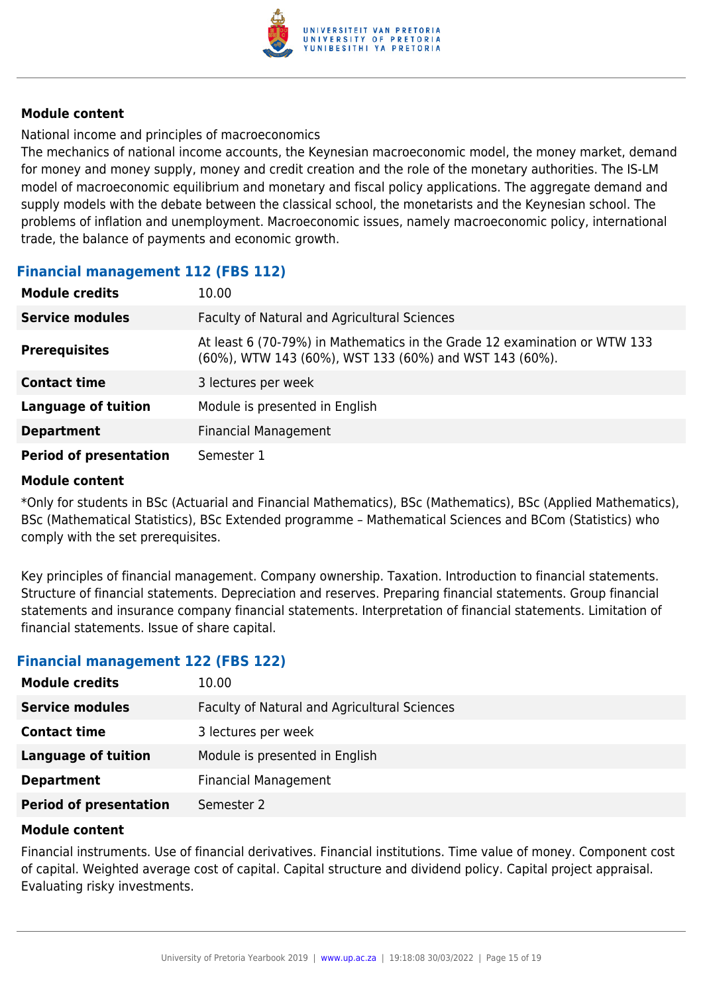

National income and principles of macroeconomics

The mechanics of national income accounts, the Keynesian macroeconomic model, the money market, demand for money and money supply, money and credit creation and the role of the monetary authorities. The IS-LM model of macroeconomic equilibrium and monetary and fiscal policy applications. The aggregate demand and supply models with the debate between the classical school, the monetarists and the Keynesian school. The problems of inflation and unemployment. Macroeconomic issues, namely macroeconomic policy, international trade, the balance of payments and economic growth.

# **Financial management 112 (FBS 112)**

| <b>Module credits</b>         | 10.00                                                                                                                               |
|-------------------------------|-------------------------------------------------------------------------------------------------------------------------------------|
| <b>Service modules</b>        | Faculty of Natural and Agricultural Sciences                                                                                        |
| <b>Prerequisites</b>          | At least 6 (70-79%) in Mathematics in the Grade 12 examination or WTW 133<br>(60%), WTW 143 (60%), WST 133 (60%) and WST 143 (60%). |
| <b>Contact time</b>           | 3 lectures per week                                                                                                                 |
| <b>Language of tuition</b>    | Module is presented in English                                                                                                      |
| <b>Department</b>             | <b>Financial Management</b>                                                                                                         |
| <b>Period of presentation</b> | Semester 1                                                                                                                          |

#### **Module content**

\*Only for students in BSc (Actuarial and Financial Mathematics), BSc (Mathematics), BSc (Applied Mathematics), BSc (Mathematical Statistics), BSc Extended programme – Mathematical Sciences and BCom (Statistics) who comply with the set prerequisites.

Key principles of financial management. Company ownership. Taxation. Introduction to financial statements. Structure of financial statements. Depreciation and reserves. Preparing financial statements. Group financial statements and insurance company financial statements. Interpretation of financial statements. Limitation of financial statements. Issue of share capital.

#### **Financial management 122 (FBS 122)**

| <b>Module credits</b>         | 10.00                                        |
|-------------------------------|----------------------------------------------|
| <b>Service modules</b>        | Faculty of Natural and Agricultural Sciences |
| <b>Contact time</b>           | 3 lectures per week                          |
| Language of tuition           | Module is presented in English               |
| <b>Department</b>             | <b>Financial Management</b>                  |
| <b>Period of presentation</b> | Semester 2                                   |

#### **Module content**

Financial instruments. Use of financial derivatives. Financial institutions. Time value of money. Component cost of capital. Weighted average cost of capital. Capital structure and dividend policy. Capital project appraisal. Evaluating risky investments.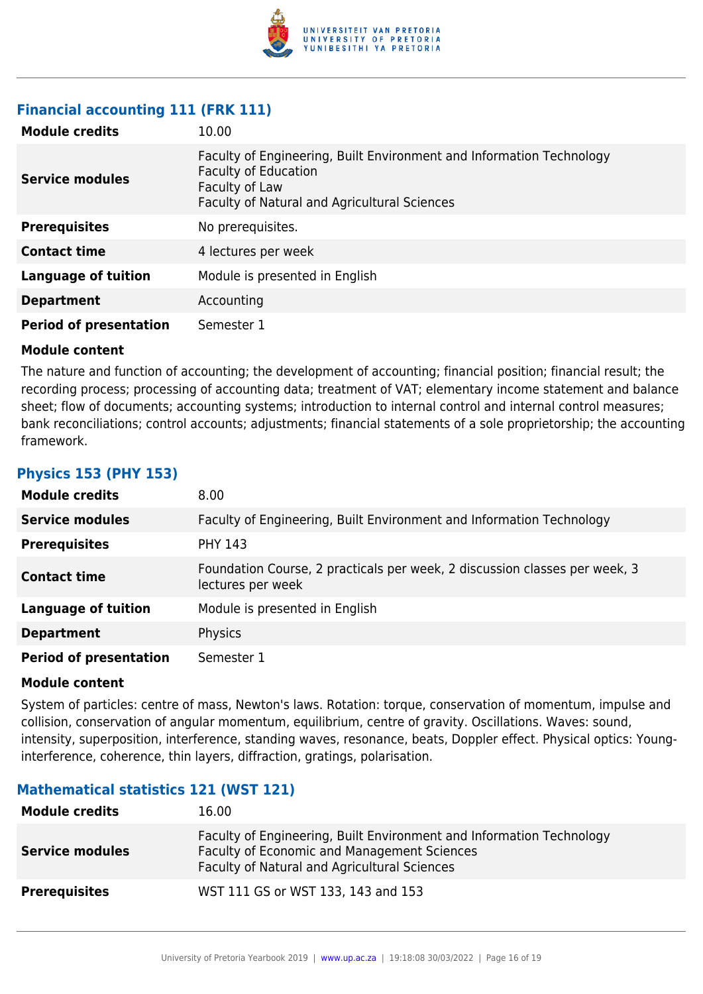

# **Financial accounting 111 (FRK 111)**

| <b>Module credits</b>         | 10.00                                                                                                                                                                 |
|-------------------------------|-----------------------------------------------------------------------------------------------------------------------------------------------------------------------|
| <b>Service modules</b>        | Faculty of Engineering, Built Environment and Information Technology<br><b>Faculty of Education</b><br>Faculty of Law<br>Faculty of Natural and Agricultural Sciences |
| <b>Prerequisites</b>          | No prerequisites.                                                                                                                                                     |
| <b>Contact time</b>           | 4 lectures per week                                                                                                                                                   |
| <b>Language of tuition</b>    | Module is presented in English                                                                                                                                        |
| <b>Department</b>             | Accounting                                                                                                                                                            |
| <b>Period of presentation</b> | Semester 1                                                                                                                                                            |

#### **Module content**

The nature and function of accounting; the development of accounting; financial position; financial result; the recording process; processing of accounting data; treatment of VAT; elementary income statement and balance sheet; flow of documents; accounting systems; introduction to internal control and internal control measures; bank reconciliations; control accounts; adjustments; financial statements of a sole proprietorship; the accounting framework.

### **Physics 153 (PHY 153)**

| <b>Module credits</b>         | 8.00                                                                                            |
|-------------------------------|-------------------------------------------------------------------------------------------------|
| <b>Service modules</b>        | Faculty of Engineering, Built Environment and Information Technology                            |
| <b>Prerequisites</b>          | <b>PHY 143</b>                                                                                  |
| <b>Contact time</b>           | Foundation Course, 2 practicals per week, 2 discussion classes per week, 3<br>lectures per week |
| <b>Language of tuition</b>    | Module is presented in English                                                                  |
| <b>Department</b>             | Physics                                                                                         |
| <b>Period of presentation</b> | Semester 1                                                                                      |

#### **Module content**

System of particles: centre of mass, Newton's laws. Rotation: torque, conservation of momentum, impulse and collision, conservation of angular momentum, equilibrium, centre of gravity. Oscillations. Waves: sound, intensity, superposition, interference, standing waves, resonance, beats, Doppler effect. Physical optics: Younginterference, coherence, thin layers, diffraction, gratings, polarisation.

# **Mathematical statistics 121 (WST 121)**

| <b>Module credits</b>  | 16.00                                                                                                                                                               |
|------------------------|---------------------------------------------------------------------------------------------------------------------------------------------------------------------|
| <b>Service modules</b> | Faculty of Engineering, Built Environment and Information Technology<br>Faculty of Economic and Management Sciences<br>Faculty of Natural and Agricultural Sciences |
| <b>Prerequisites</b>   | WST 111 GS or WST 133, 143 and 153                                                                                                                                  |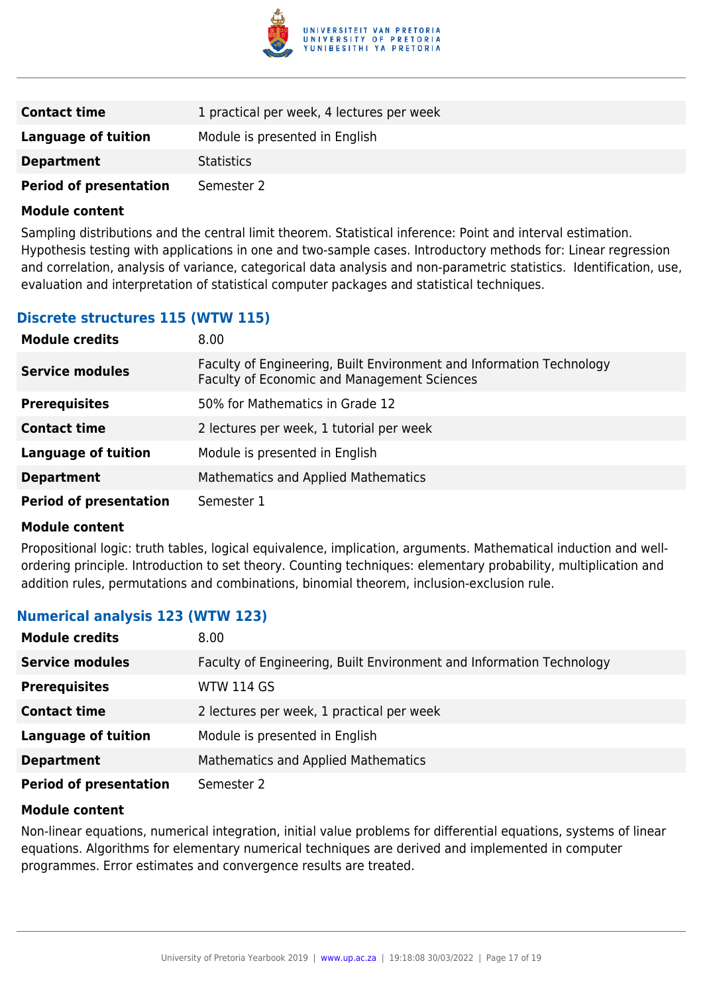

| <b>Contact time</b>           | 1 practical per week, 4 lectures per week |  |
|-------------------------------|-------------------------------------------|--|
| Language of tuition           | Module is presented in English            |  |
| <b>Department</b>             | <b>Statistics</b>                         |  |
| <b>Period of presentation</b> | Semester 2                                |  |

Sampling distributions and the central limit theorem. Statistical inference: Point and interval estimation. Hypothesis testing with applications in one and two-sample cases. Introductory methods for: Linear regression and correlation, analysis of variance, categorical data analysis and non-parametric statistics. Identification, use, evaluation and interpretation of statistical computer packages and statistical techniques.

### **Discrete structures 115 (WTW 115)**

| <b>Module credits</b>         | 8.00                                                                                                                |  |
|-------------------------------|---------------------------------------------------------------------------------------------------------------------|--|
| <b>Service modules</b>        | Faculty of Engineering, Built Environment and Information Technology<br>Faculty of Economic and Management Sciences |  |
| <b>Prerequisites</b>          | 50% for Mathematics in Grade 12                                                                                     |  |
| <b>Contact time</b>           | 2 lectures per week, 1 tutorial per week                                                                            |  |
| <b>Language of tuition</b>    | Module is presented in English                                                                                      |  |
| <b>Department</b>             | Mathematics and Applied Mathematics                                                                                 |  |
| <b>Period of presentation</b> | Semester 1                                                                                                          |  |

#### **Module content**

Propositional logic: truth tables, logical equivalence, implication, arguments. Mathematical induction and wellordering principle. Introduction to set theory. Counting techniques: elementary probability, multiplication and addition rules, permutations and combinations, binomial theorem, inclusion-exclusion rule.

#### **Numerical analysis 123 (WTW 123)**

| <b>Module credits</b>         | 8.00                                                                 |  |
|-------------------------------|----------------------------------------------------------------------|--|
| <b>Service modules</b>        | Faculty of Engineering, Built Environment and Information Technology |  |
| <b>Prerequisites</b>          | <b>WTW 114 GS</b>                                                    |  |
| <b>Contact time</b>           | 2 lectures per week, 1 practical per week                            |  |
| <b>Language of tuition</b>    | Module is presented in English                                       |  |
| <b>Department</b>             | Mathematics and Applied Mathematics                                  |  |
| <b>Period of presentation</b> | Semester 2                                                           |  |

#### **Module content**

Non-linear equations, numerical integration, initial value problems for differential equations, systems of linear equations. Algorithms for elementary numerical techniques are derived and implemented in computer programmes. Error estimates and convergence results are treated.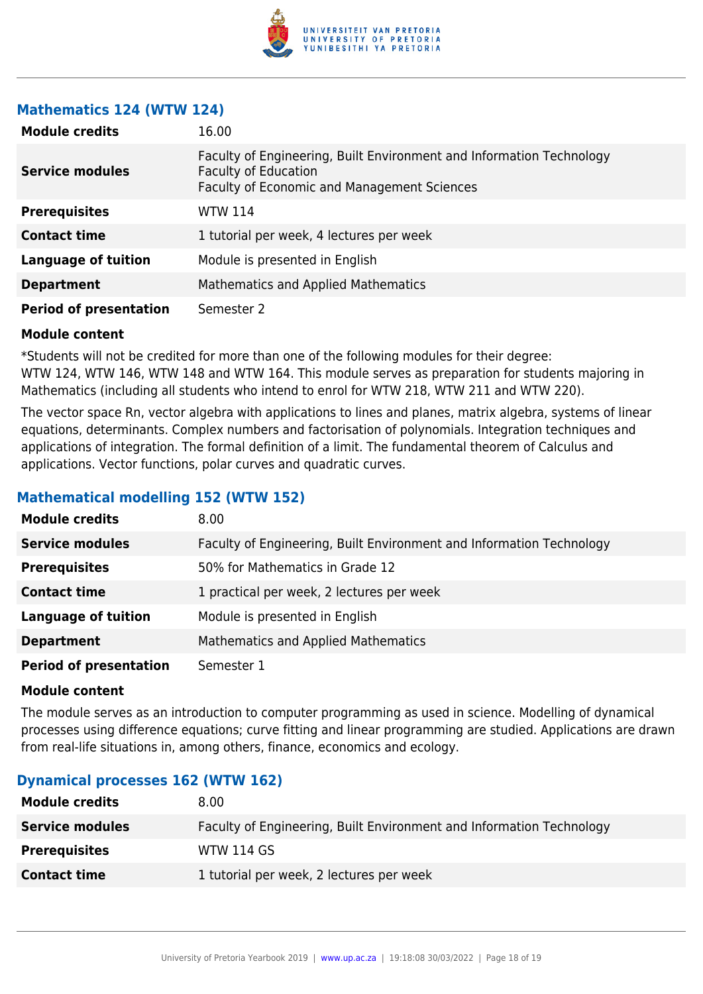

### **Mathematics 124 (WTW 124)**

| <b>Module credits</b>         | 16.00                                                                                                                                                     |  |
|-------------------------------|-----------------------------------------------------------------------------------------------------------------------------------------------------------|--|
| <b>Service modules</b>        | Faculty of Engineering, Built Environment and Information Technology<br><b>Faculty of Education</b><br><b>Faculty of Economic and Management Sciences</b> |  |
| <b>Prerequisites</b>          | <b>WTW 114</b>                                                                                                                                            |  |
| <b>Contact time</b>           | 1 tutorial per week, 4 lectures per week                                                                                                                  |  |
| <b>Language of tuition</b>    | Module is presented in English                                                                                                                            |  |
| <b>Department</b>             | <b>Mathematics and Applied Mathematics</b>                                                                                                                |  |
| <b>Period of presentation</b> | Semester 2                                                                                                                                                |  |

#### **Module content**

\*Students will not be credited for more than one of the following modules for their degree: WTW 124, WTW 146, WTW 148 and WTW 164. This module serves as preparation for students majoring in Mathematics (including all students who intend to enrol for WTW 218, WTW 211 and WTW 220).

The vector space Rn, vector algebra with applications to lines and planes, matrix algebra, systems of linear equations, determinants. Complex numbers and factorisation of polynomials. Integration techniques and applications of integration. The formal definition of a limit. The fundamental theorem of Calculus and applications. Vector functions, polar curves and quadratic curves.

# **Mathematical modelling 152 (WTW 152)**

| <b>Module credits</b>         | 8.00                                                                 |  |
|-------------------------------|----------------------------------------------------------------------|--|
| <b>Service modules</b>        | Faculty of Engineering, Built Environment and Information Technology |  |
| <b>Prerequisites</b>          | 50% for Mathematics in Grade 12                                      |  |
| <b>Contact time</b>           | 1 practical per week, 2 lectures per week                            |  |
| <b>Language of tuition</b>    | Module is presented in English                                       |  |
| <b>Department</b>             | <b>Mathematics and Applied Mathematics</b>                           |  |
| <b>Period of presentation</b> | Semester 1                                                           |  |

#### **Module content**

The module serves as an introduction to computer programming as used in science. Modelling of dynamical processes using difference equations; curve fitting and linear programming are studied. Applications are drawn from real-life situations in, among others, finance, economics and ecology.

#### **Dynamical processes 162 (WTW 162)**

| <b>Module credits</b>  | 8.00                                                                 |  |
|------------------------|----------------------------------------------------------------------|--|
| <b>Service modules</b> | Faculty of Engineering, Built Environment and Information Technology |  |
| <b>Prerequisites</b>   | <b>WTW 114 GS</b>                                                    |  |
| <b>Contact time</b>    | 1 tutorial per week, 2 lectures per week                             |  |